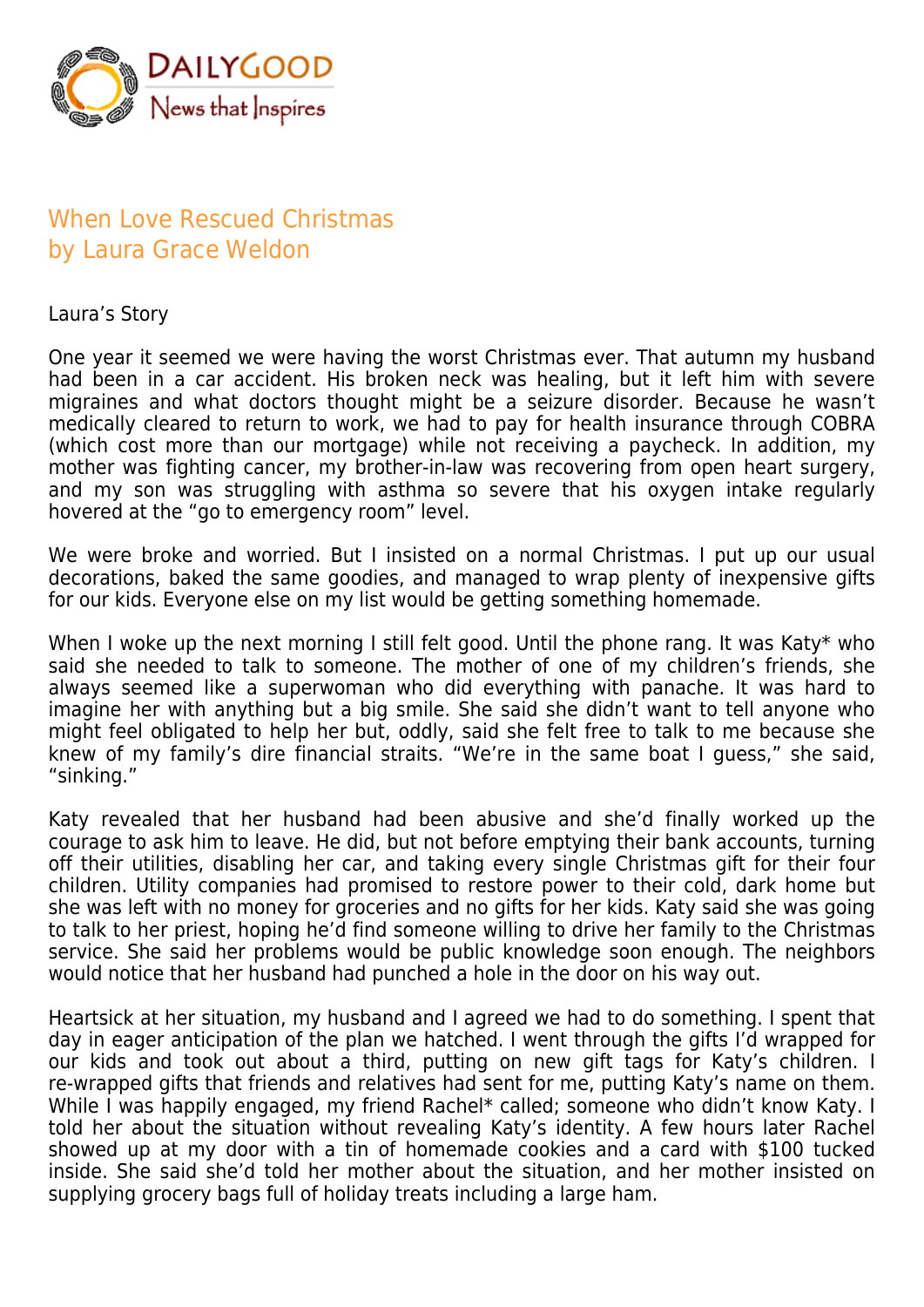

## When Love Rescued Christmas by Laura Grace Weldon

Laura's Story

One year it seemed we were having the worst Christmas ever. That autumn my husband had been in a car accident. His broken neck was healing, but it left him with severe migraines and what doctors thought might be a seizure disorder. Because he wasn't medically cleared to return to work, we had to pay for health insurance through COBRA (which cost more than our mortgage) while not receiving a paycheck. In addition, my mother was fighting cancer, my brother-in-law was recovering from open heart surgery, and my son was struggling with asthma so severe that his oxygen intake regularly hovered at the "go to emergency room" level.

We were broke and worried. But I insisted on a normal Christmas. I put up our usual decorations, baked the same goodies, and managed to wrap plenty of inexpensive gifts for our kids. Everyone else on my list would be getting something homemade.

When I woke up the next morning I still felt good. Until the phone rang. It was Katy\* who said she needed to talk to someone. The mother of one of my children's friends, she always seemed like a superwoman who did everything with panache. It was hard to imagine her with anything but a big smile. She said she didn't want to tell anyone who might feel obligated to help her but, oddly, said she felt free to talk to me because she knew of my family's dire financial straits. "We're in the same boat I guess," she said, "sinking."

Katy revealed that her husband had been abusive and she'd finally worked up the courage to ask him to leave. He did, but not before emptying their bank accounts, turning off their utilities, disabling her car, and taking every single Christmas gift for their four children. Utility companies had promised to restore power to their cold, dark home but she was left with no money for groceries and no gifts for her kids. Katy said she was going to talk to her priest, hoping he'd find someone willing to drive her family to the Christmas service. She said her problems would be public knowledge soon enough. The neighbors would notice that her husband had punched a hole in the door on his way out.

Heartsick at her situation, my husband and I agreed we had to do something. I spent that day in eager anticipation of the plan we hatched. I went through the gifts I'd wrapped for our kids and took out about a third, putting on new gift tags for Katy's children. I re-wrapped gifts that friends and relatives had sent for me, putting Katy's name on them. While I was happily engaged, my friend Rachel\* called; someone who didn't know Katy. I told her about the situation without revealing Katy's identity. A few hours later Rachel showed up at my door with a tin of homemade cookies and a card with \$100 tucked inside. She said she'd told her mother about the situation, and her mother insisted on supplying grocery bags full of holiday treats including a large ham.